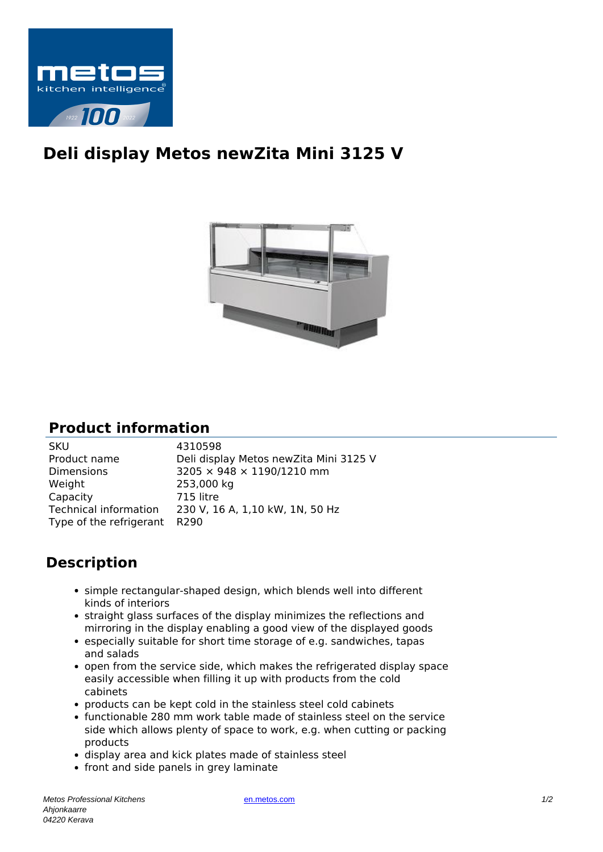

## **Deli display Metos newZita Mini 3125 V**



## **Product information**

| <b>SKU</b>                   | 4310598                                |
|------------------------------|----------------------------------------|
| Product name                 | Deli display Metos newZita Mini 3125 V |
| <b>Dimensions</b>            | 3205 × 948 × 1190/1210 mm              |
| Weight                       | 253,000 kg                             |
| Capacity                     | 715 litre                              |
| Technical information        | 230 V, 16 A, 1,10 kW, 1N, 50 Hz        |
| Type of the refrigerant R290 |                                        |
|                              |                                        |

## **Description**

- simple rectangular-shaped design, which blends well into different kinds of interiors
- straight glass surfaces of the display minimizes the reflections and mirroring in the display enabling a good view of the displayed goods
- especially suitable for short time storage of e.g. sandwiches, tapas and salads
- open from the service side, which makes the refrigerated display space easily accessible when filling it up with products from the cold cabinets
- products can be kept cold in the stainless steel cold cabinets
- functionable 280 mm work table made of stainless steel on the service side which allows plenty of space to work, e.g. when cutting or packing products
- display area and kick plates made of stainless steel
- front and side panels in grey laminate